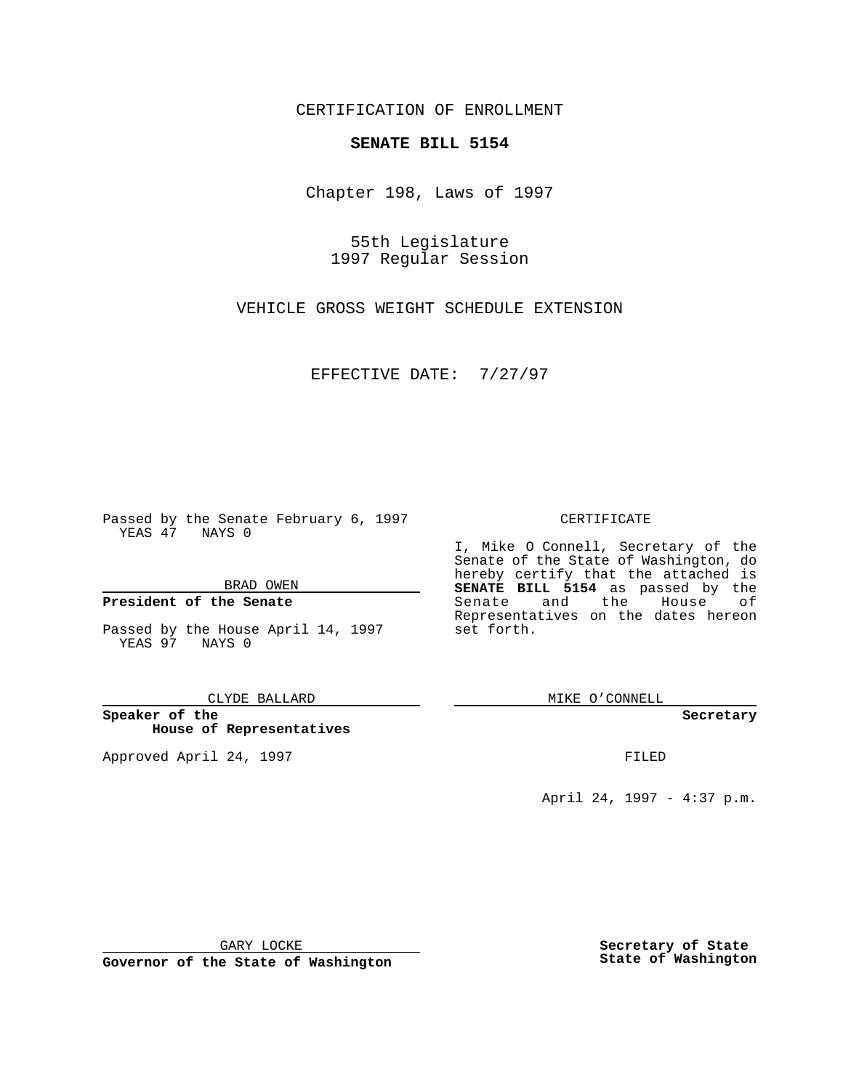CERTIFICATION OF ENROLLMENT

# **SENATE BILL 5154**

Chapter 198, Laws of 1997

55th Legislature 1997 Regular Session

VEHICLE GROSS WEIGHT SCHEDULE EXTENSION

EFFECTIVE DATE: 7/27/97

Passed by the Senate February 6, 1997 YEAS 47 NAYS 0

BRAD OWEN

### **President of the Senate**

Passed by the House April 14, 1997 YEAS 97 NAYS 0

CLYDE BALLARD

**Speaker of the House of Representatives**

Approved April 24, 1997 **FILED** 

### CERTIFICATE

I, Mike O Connell, Secretary of the Senate of the State of Washington, do hereby certify that the attached is **SENATE BILL 5154** as passed by the Senate and the House of Representatives on the dates hereon set forth.

MIKE O'CONNELL

#### **Secretary**

April 24, 1997 - 4:37 p.m.

GARY LOCKE

**Governor of the State of Washington**

**Secretary of State State of Washington**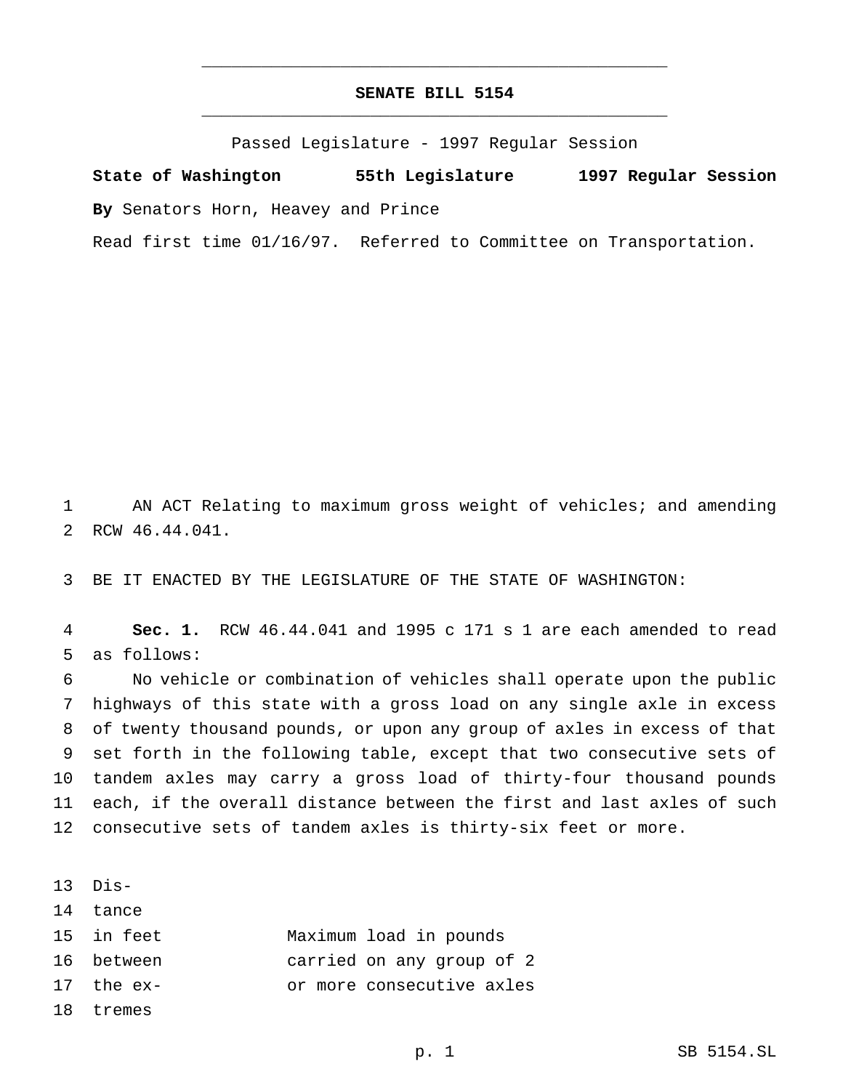# **SENATE BILL 5154** \_\_\_\_\_\_\_\_\_\_\_\_\_\_\_\_\_\_\_\_\_\_\_\_\_\_\_\_\_\_\_\_\_\_\_\_\_\_\_\_\_\_\_\_\_\_\_

\_\_\_\_\_\_\_\_\_\_\_\_\_\_\_\_\_\_\_\_\_\_\_\_\_\_\_\_\_\_\_\_\_\_\_\_\_\_\_\_\_\_\_\_\_\_\_

Passed Legislature - 1997 Regular Session

**State of Washington 55th Legislature 1997 Regular Session By** Senators Horn, Heavey and Prince

Read first time 01/16/97. Referred to Committee on Transportation.

 AN ACT Relating to maximum gross weight of vehicles; and amending RCW 46.44.041.

BE IT ENACTED BY THE LEGISLATURE OF THE STATE OF WASHINGTON:

 **Sec. 1.** RCW 46.44.041 and 1995 c 171 s 1 are each amended to read as follows:

 No vehicle or combination of vehicles shall operate upon the public highways of this state with a gross load on any single axle in excess of twenty thousand pounds, or upon any group of axles in excess of that set forth in the following table, except that two consecutive sets of tandem axles may carry a gross load of thirty-four thousand pounds each, if the overall distance between the first and last axles of such consecutive sets of tandem axles is thirty-six feet or more.

Dis-

tance

- in feet Maximum load in pounds
- between carried on any group of 2
- the ex- or more consecutive axles

tremes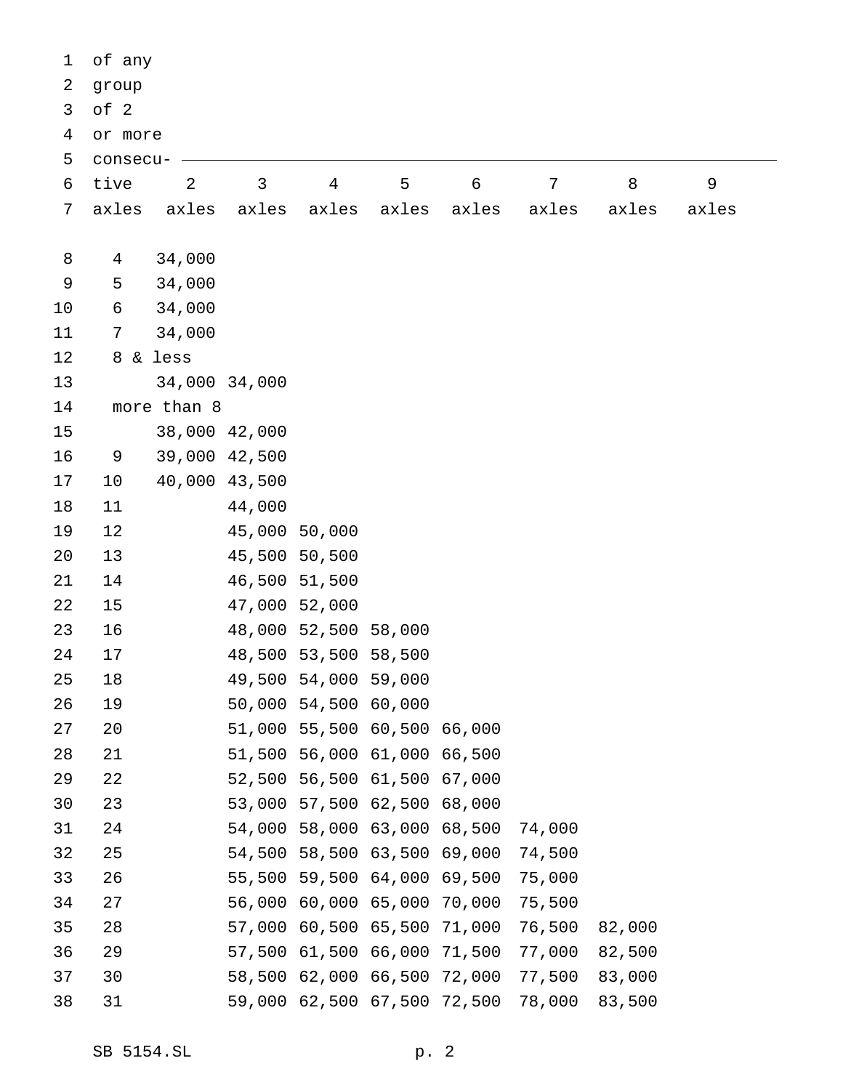| 1              | of any         |               |        |                             |       |                |                |        |             |  |
|----------------|----------------|---------------|--------|-----------------------------|-------|----------------|----------------|--------|-------------|--|
| 2              | group          |               |        |                             |       |                |                |        |             |  |
| 3              | of 2           |               |        |                             |       |                |                |        |             |  |
| $\overline{4}$ | or more        |               |        |                             |       |                |                |        |             |  |
| 5              | consecu-       |               |        |                             |       |                |                |        |             |  |
| 6              | tive           | $\mathbf{2}$  | 3      | $\overline{4}$              | 5     | $6\phantom{1}$ | $7\phantom{.}$ | 8      | $\mathsf 9$ |  |
| 7              | axles          | axles         | axles  | axles                       | axles | axles          | axles          | axles  | axles       |  |
|                |                |               |        |                             |       |                |                |        |             |  |
| 8              | 4              | 34,000        |        |                             |       |                |                |        |             |  |
| 9              | 5              | 34,000        |        |                             |       |                |                |        |             |  |
| 10             | 6              | 34,000        |        |                             |       |                |                |        |             |  |
| 11             | $7\phantom{.}$ | 34,000        |        |                             |       |                |                |        |             |  |
| 12             |                | 8 & less      |        |                             |       |                |                |        |             |  |
| 13             |                | 34,000 34,000 |        |                             |       |                |                |        |             |  |
| 14             |                | more than 8   |        |                             |       |                |                |        |             |  |
| 15             |                | 38,000 42,000 |        |                             |       |                |                |        |             |  |
| 16             | 9              | 39,000 42,500 |        |                             |       |                |                |        |             |  |
| 17             | 10             | 40,000 43,500 |        |                             |       |                |                |        |             |  |
| 18             | 11             |               | 44,000 |                             |       |                |                |        |             |  |
| 19             | 12             |               |        | 45,000 50,000               |       |                |                |        |             |  |
| 20             | 13             |               |        | 45,500 50,500               |       |                |                |        |             |  |
| 21             | 14             |               |        | 46,500 51,500               |       |                |                |        |             |  |
| 22             | 15             |               |        | 47,000 52,000               |       |                |                |        |             |  |
| 23             | 16             |               |        | 48,000 52,500 58,000        |       |                |                |        |             |  |
| 24             | 17             |               |        | 48,500 53,500 58,500        |       |                |                |        |             |  |
| 25             | 18             |               |        | 49,500 54,000 59,000        |       |                |                |        |             |  |
| 26             | 19             |               |        | 50,000 54,500 60,000        |       |                |                |        |             |  |
| 27             | 20             |               |        | 51,000 55,500 60,500 66,000 |       |                |                |        |             |  |
| 28             | 21             |               |        | 51,500 56,000 61,000 66,500 |       |                |                |        |             |  |
| 29             | 22             |               |        | 52,500 56,500 61,500 67,000 |       |                |                |        |             |  |
| 30             | 23             |               |        | 53,000 57,500 62,500 68,000 |       |                |                |        |             |  |
| 31             | 24             |               |        | 54,000 58,000 63,000 68,500 |       |                | 74,000         |        |             |  |
| 32             | 25             |               |        | 54,500 58,500 63,500 69,000 |       |                | 74,500         |        |             |  |
| 33             | 26             |               |        | 55,500 59,500 64,000 69,500 |       |                | 75,000         |        |             |  |
| 34             | 27             |               |        | 56,000 60,000 65,000 70,000 |       |                | 75,500         |        |             |  |
| 35             | 28             |               |        | 57,000 60,500 65,500 71,000 |       |                | 76,500         | 82,000 |             |  |
| 36             | 29             |               |        | 57,500 61,500 66,000 71,500 |       |                | 77,000         | 82,500 |             |  |
| 37             | 30             |               |        | 58,500 62,000 66,500 72,000 |       |                | 77,500         | 83,000 |             |  |
| 38             | 31             |               |        | 59,000 62,500 67,500 72,500 |       |                | 78,000         | 83,500 |             |  |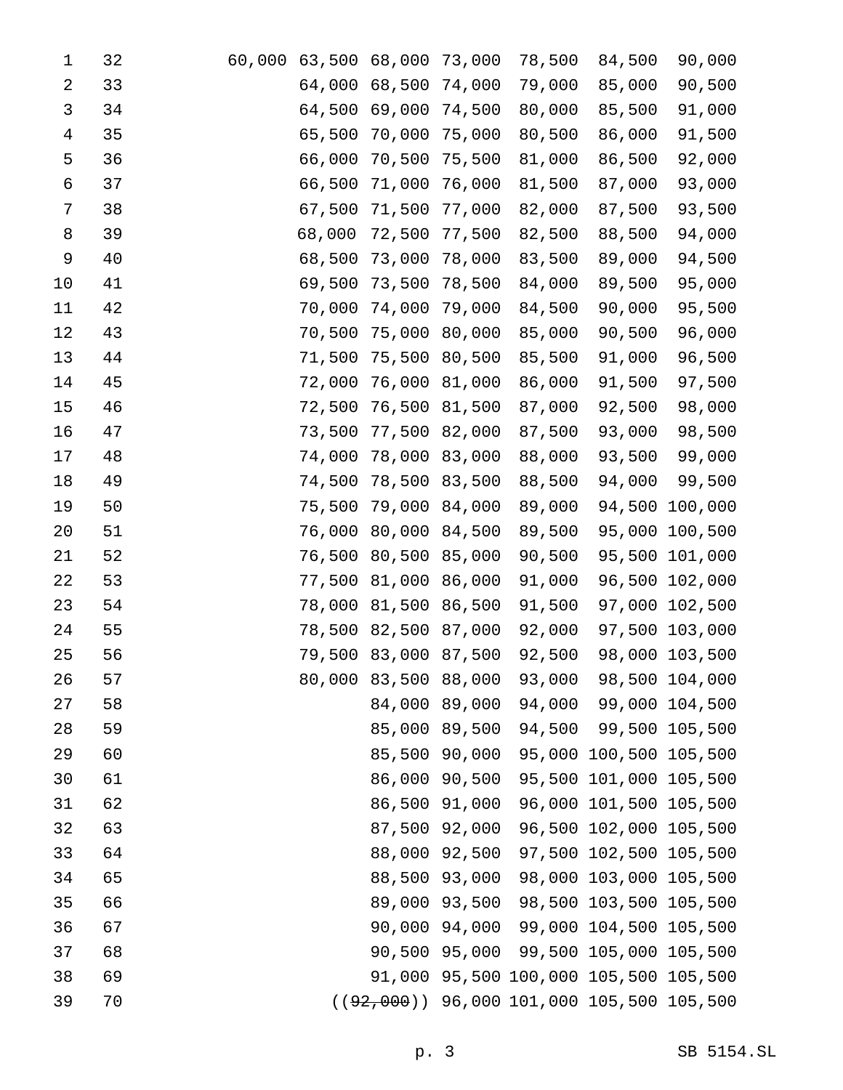| 1  | 32 | 60,000 | 63,500 | 68,000               | 73,000        | 78,500 | 84,500                                      | 90,000         |
|----|----|--------|--------|----------------------|---------------|--------|---------------------------------------------|----------------|
| 2  | 33 |        | 64,000 | 68,500               | 74,000        | 79,000 | 85,000                                      | 90,500         |
| 3  | 34 |        | 64,500 | 69,000               | 74,500        | 80,000 | 85,500                                      | 91,000         |
| 4  | 35 |        | 65,500 | 70,000               | 75,000        | 80,500 | 86,000                                      | 91,500         |
| 5  | 36 |        | 66,000 | 70,500               | 75,500        | 81,000 | 86,500                                      | 92,000         |
| 6  | 37 |        | 66,500 | 71,000               | 76,000        | 81,500 | 87,000                                      | 93,000         |
| 7  | 38 |        | 67,500 | 71,500               | 77,000        | 82,000 | 87,500                                      | 93,500         |
| 8  | 39 |        | 68,000 | 72,500               | 77,500        | 82,500 | 88,500                                      | 94,000         |
| 9  | 40 |        | 68,500 | 73,000               | 78,000        | 83,500 | 89,000                                      | 94,500         |
| 10 | 41 |        | 69,500 | 73,500               | 78,500        | 84,000 | 89,500                                      | 95,000         |
| 11 | 42 |        | 70,000 | 74,000               | 79,000        | 84,500 | 90,000                                      | 95,500         |
| 12 | 43 |        | 70,500 | 75,000               | 80,000        | 85,000 | 90,500                                      | 96,000         |
| 13 | 44 |        | 71,500 | 75,500               | 80,500        | 85,500 | 91,000                                      | 96,500         |
| 14 | 45 |        | 72,000 | 76,000               | 81,000        | 86,000 | 91,500                                      | 97,500         |
| 15 | 46 |        | 72,500 | 76,500               | 81,500        | 87,000 | 92,500                                      | 98,000         |
| 16 | 47 |        | 73,500 | 77,500               | 82,000        | 87,500 | 93,000                                      | 98,500         |
| 17 | 48 |        | 74,000 | 78,000               | 83,000        | 88,000 | 93,500                                      | 99,000         |
| 18 | 49 |        | 74,500 | 78,500               | 83,500        | 88,500 | 94,000                                      | 99,500         |
| 19 | 50 |        | 75,500 | 79,000               | 84,000        | 89,000 | 94,500                                      | 100,000        |
| 20 | 51 |        | 76,000 | 80,000               | 84,500        | 89,500 | 95,000                                      | 100,500        |
| 21 | 52 |        | 76,500 | 80,500               | 85,000        | 90,500 | 95,500                                      | 101,000        |
| 22 | 53 |        | 77,500 | 81,000               | 86,000        | 91,000 | 96,500                                      | 102,000        |
| 23 | 54 |        | 78,000 | 81,500               | 86,500        | 91,500 | 97,000                                      | 102,500        |
| 24 | 55 |        | 78,500 | 82,500               | 87,000        | 92,000 | 97,500                                      | 103,000        |
| 25 | 56 |        | 79,500 | 83,000               | 87,500        | 92,500 | 98,000                                      | 103,500        |
| 26 | 57 |        |        | 80,000 83,500 88,000 |               | 93,000 |                                             | 98,500 104,000 |
| 27 | 58 |        |        |                      | 84,000 89,000 | 94,000 |                                             | 99,000 104,500 |
| 28 | 59 |        |        |                      | 85,000 89,500 | 94,500 |                                             | 99,500 105,500 |
| 29 | 60 |        |        | 85,500               | 90,000        |        | 95,000 100,500 105,500                      |                |
| 30 | 61 |        |        | 86,000 90,500        |               |        | 95,500 101,000 105,500                      |                |
| 31 | 62 |        |        | 86,500               | 91,000        |        | 96,000 101,500 105,500                      |                |
| 32 | 63 |        |        | 87,500 92,000        |               |        | 96,500 102,000 105,500                      |                |
| 33 | 64 |        |        | 88,000               | 92,500        |        | 97,500 102,500 105,500                      |                |
| 34 | 65 |        |        |                      | 88,500 93,000 |        | 98,000 103,000 105,500                      |                |
| 35 | 66 |        |        | 89,000               | 93,500        |        | 98,500 103,500 105,500                      |                |
| 36 | 67 |        |        |                      | 90,000 94,000 |        | 99,000 104,500 105,500                      |                |
| 37 | 68 |        |        |                      | 90,500 95,000 |        | 99,500 105,000 105,500                      |                |
| 38 | 69 |        |        |                      |               |        | 91,000 95,500 100,000 105,500 105,500       |                |
| 39 | 70 |        |        |                      |               |        | $((92,000))$ 96,000 101,000 105,500 105,500 |                |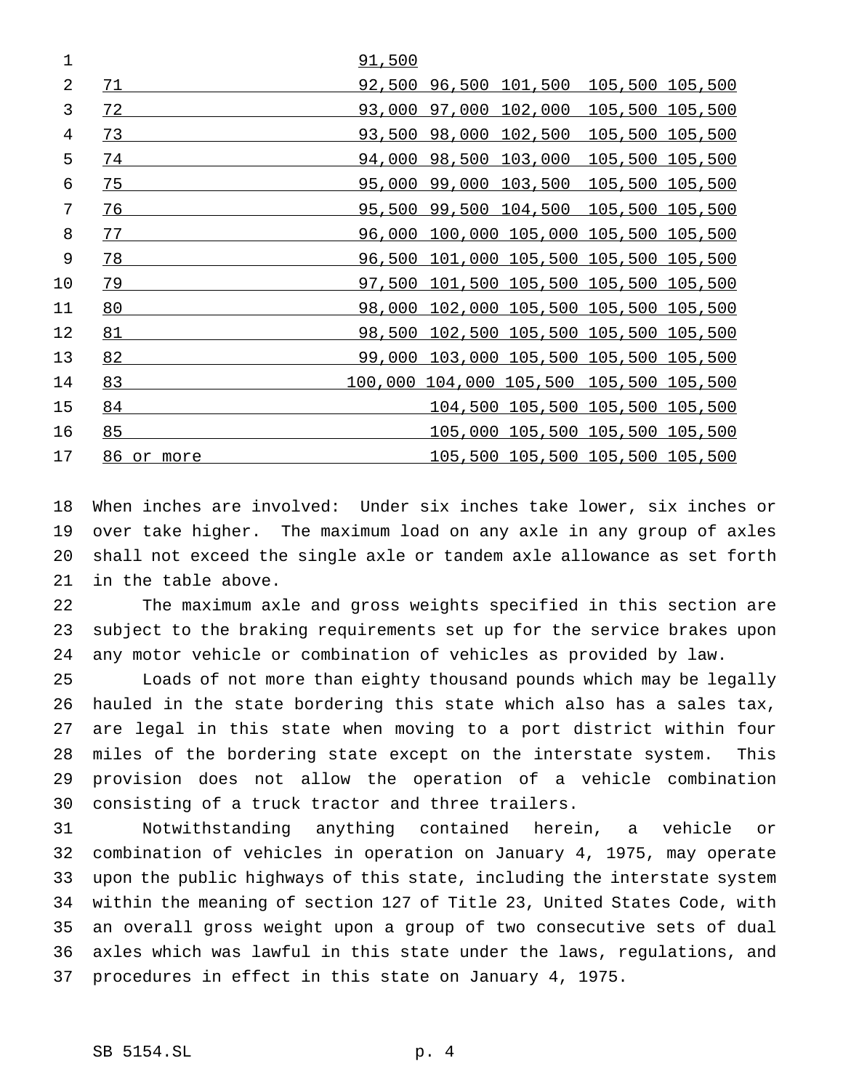| 1  |               | 91,500 |                       |                                         |                 |  |
|----|---------------|--------|-----------------------|-----------------------------------------|-----------------|--|
| 2  | 71            |        | 92,500 96,500 101,500 |                                         | 105,500 105,500 |  |
| 3  | 72            | 93,000 | 97,000                | 102,000                                 | 105,500 105,500 |  |
| 4  | 73            | 93,500 | 98,000                | 102,500                                 | 105,500 105,500 |  |
| 5  | 74            | 94,000 | 98,500                | 103,000                                 | 105,500 105,500 |  |
| 6  | 75            | 95,000 | 99,000                | 103,500                                 | 105,500 105,500 |  |
| 7  | 76            | 95,500 | 99,500 104,500        |                                         | 105,500 105,500 |  |
| 8  | 77            | 96,000 |                       | <u>100,000 105,000 105,500 105,500</u>  |                 |  |
| 9  | 78            | 96,500 |                       | 101,000 105,500 105,500 105,500         |                 |  |
| 10 | 79            | 97,500 |                       | 101,500 105,500 105,500 105,500         |                 |  |
| 11 | 80            | 98,000 |                       | 102,000 105,500 105,500 105,500         |                 |  |
| 12 | 81            | 98,500 |                       | 102,500 105,500 105,500 105,500         |                 |  |
| 13 | 82            | 99,000 |                       | 103,000 105,500 105,500 105,500         |                 |  |
| 14 | 83            |        |                       | 100,000 104,000 105,500 105,500 105,500 |                 |  |
| 15 | 84            |        |                       | 104,500 105,500 105,500 105,500         |                 |  |
| 16 | 85            |        |                       | 105,000 105,500 105,500 105,500         |                 |  |
| 17 | 86<br>or more |        |                       | 105,500 105,500 105,500 105,500         |                 |  |

 When inches are involved: Under six inches take lower, six inches or over take higher. The maximum load on any axle in any group of axles shall not exceed the single axle or tandem axle allowance as set forth in the table above.

 The maximum axle and gross weights specified in this section are subject to the braking requirements set up for the service brakes upon any motor vehicle or combination of vehicles as provided by law.

 Loads of not more than eighty thousand pounds which may be legally hauled in the state bordering this state which also has a sales tax, are legal in this state when moving to a port district within four miles of the bordering state except on the interstate system. This provision does not allow the operation of a vehicle combination consisting of a truck tractor and three trailers.

 Notwithstanding anything contained herein, a vehicle or combination of vehicles in operation on January 4, 1975, may operate upon the public highways of this state, including the interstate system within the meaning of section 127 of Title 23, United States Code, with an overall gross weight upon a group of two consecutive sets of dual axles which was lawful in this state under the laws, regulations, and procedures in effect in this state on January 4, 1975.